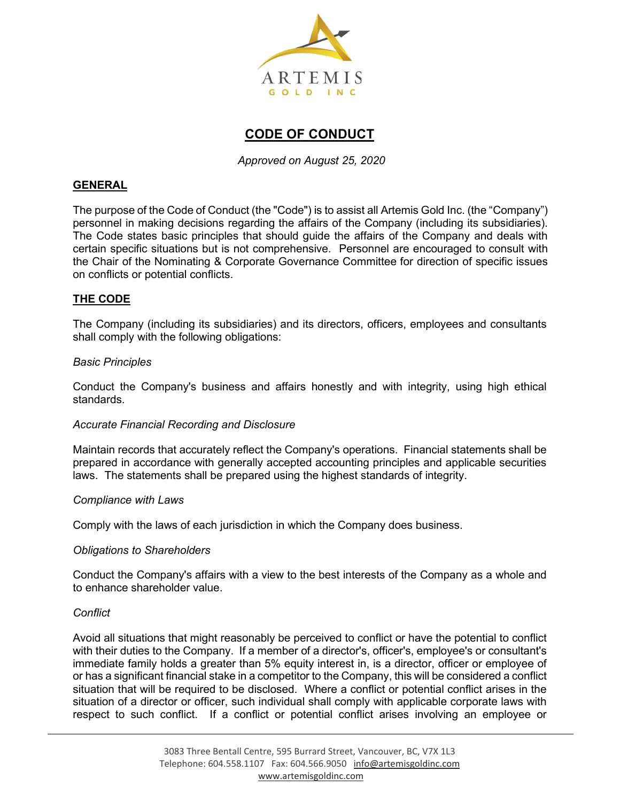

# **CODE OF CONDUCT**

*Approved on August 25, 2020*

## **GENERAL**

The purpose of the Code of Conduct (the "Code") is to assist all Artemis Gold Inc. (the "Company") personnel in making decisions regarding the affairs of the Company (including its subsidiaries). The Code states basic principles that should guide the affairs of the Company and deals with certain specific situations but is not comprehensive. Personnel are encouraged to consult with the Chair of the Nominating & Corporate Governance Committee for direction of specific issues on conflicts or potential conflicts.

## **THE CODE**

The Company (including its subsidiaries) and its directors, officers, employees and consultants shall comply with the following obligations:

#### *Basic Principles*

Conduct the Company's business and affairs honestly and with integrity, using high ethical standards.

#### *Accurate Financial Recording and Disclosure*

Maintain records that accurately reflect the Company's operations. Financial statements shall be prepared in accordance with generally accepted accounting principles and applicable securities laws. The statements shall be prepared using the highest standards of integrity.

#### *Compliance with Laws*

Comply with the laws of each jurisdiction in which the Company does business.

#### *Obligations to Shareholders*

Conduct the Company's affairs with a view to the best interests of the Company as a whole and to enhance shareholder value.

#### *Conflict*

Avoid all situations that might reasonably be perceived to conflict or have the potential to conflict with their duties to the Company. If a member of a director's, officer's, employee's or consultant's immediate family holds a greater than 5% equity interest in, is a director, officer or employee of or has a significant financial stake in a competitor to the Company, this will be considered a conflict situation that will be required to be disclosed. Where a conflict or potential conflict arises in the situation of a director or officer, such individual shall comply with applicable corporate laws with respect to such conflict. If a conflict or potential conflict arises involving an employee or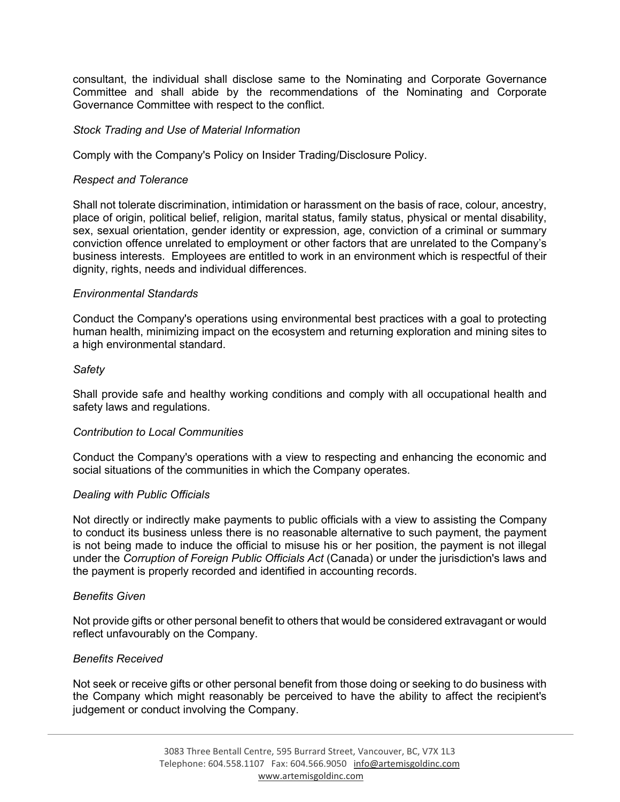consultant, the individual shall disclose same to the Nominating and Corporate Governance Committee and shall abide by the recommendations of the Nominating and Corporate Governance Committee with respect to the conflict.

#### *Stock Trading and Use of Material Information*

Comply with the Company's Policy on Insider Trading/Disclosure Policy.

## *Respect and Tolerance*

Shall not tolerate discrimination, intimidation or harassment on the basis of race, colour, ancestry, place of origin, political belief, religion, marital status, family status, physical or mental disability, sex, sexual orientation, gender identity or expression, age, conviction of a criminal or summary conviction offence unrelated to employment or other factors that are unrelated to the Company's business interests. Employees are entitled to work in an environment which is respectful of their dignity, rights, needs and individual differences.

## *Environmental Standards*

Conduct the Company's operations using environmental best practices with a goal to protecting human health, minimizing impact on the ecosystem and returning exploration and mining sites to a high environmental standard.

## *Safety*

Shall provide safe and healthy working conditions and comply with all occupational health and safety laws and regulations.

#### *Contribution to Local Communities*

Conduct the Company's operations with a view to respecting and enhancing the economic and social situations of the communities in which the Company operates.

#### *Dealing with Public Officials*

Not directly or indirectly make payments to public officials with a view to assisting the Company to conduct its business unless there is no reasonable alternative to such payment, the payment is not being made to induce the official to misuse his or her position, the payment is not illegal under the *Corruption of Foreign Public Officials Act* (Canada) or under the jurisdiction's laws and the payment is properly recorded and identified in accounting records.

#### *Benefits Given*

Not provide gifts or other personal benefit to others that would be considered extravagant or would reflect unfavourably on the Company.

#### *Benefits Received*

Not seek or receive gifts or other personal benefit from those doing or seeking to do business with the Company which might reasonably be perceived to have the ability to affect the recipient's judgement or conduct involving the Company.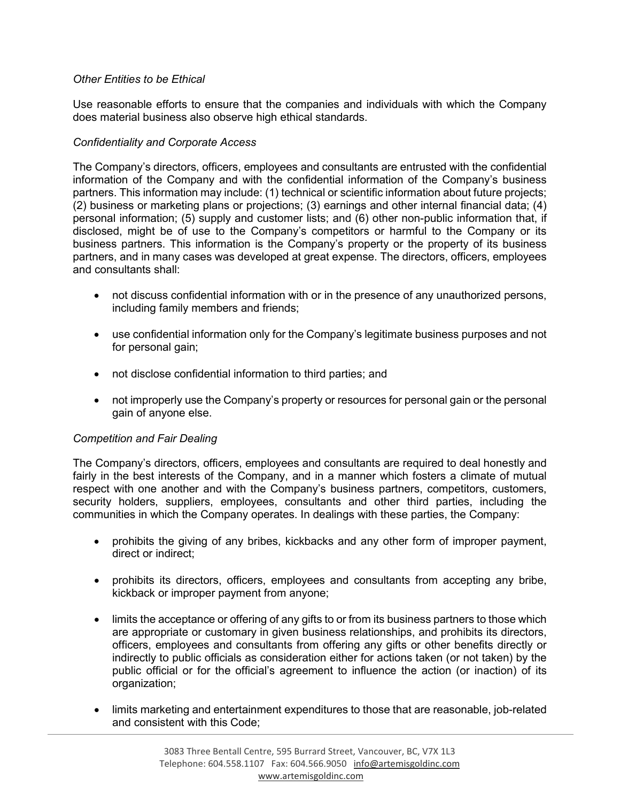## *Other Entities to be Ethical*

Use reasonable efforts to ensure that the companies and individuals with which the Company does material business also observe high ethical standards.

## *Confidentiality and Corporate Access*

The Company's directors, officers, employees and consultants are entrusted with the confidential information of the Company and with the confidential information of the Company's business partners. This information may include: (1) technical or scientific information about future projects; (2) business or marketing plans or projections; (3) earnings and other internal financial data; (4) personal information; (5) supply and customer lists; and (6) other non-public information that, if disclosed, might be of use to the Company's competitors or harmful to the Company or its business partners. This information is the Company's property or the property of its business partners, and in many cases was developed at great expense. The directors, officers, employees and consultants shall:

- not discuss confidential information with or in the presence of any unauthorized persons, including family members and friends;
- use confidential information only for the Company's legitimate business purposes and not for personal gain;
- not disclose confidential information to third parties; and
- not improperly use the Company's property or resources for personal gain or the personal gain of anyone else.

## *Competition and Fair Dealing*

The Company's directors, officers, employees and consultants are required to deal honestly and fairly in the best interests of the Company, and in a manner which fosters a climate of mutual respect with one another and with the Company's business partners, competitors, customers, security holders, suppliers, employees, consultants and other third parties, including the communities in which the Company operates. In dealings with these parties, the Company:

- prohibits the giving of any bribes, kickbacks and any other form of improper payment, direct or indirect;
- prohibits its directors, officers, employees and consultants from accepting any bribe, kickback or improper payment from anyone;
- limits the acceptance or offering of any gifts to or from its business partners to those which are appropriate or customary in given business relationships, and prohibits its directors, officers, employees and consultants from offering any gifts or other benefits directly or indirectly to public officials as consideration either for actions taken (or not taken) by the public official or for the official's agreement to influence the action (or inaction) of its organization;
- limits marketing and entertainment expenditures to those that are reasonable, job-related and consistent with this Code;